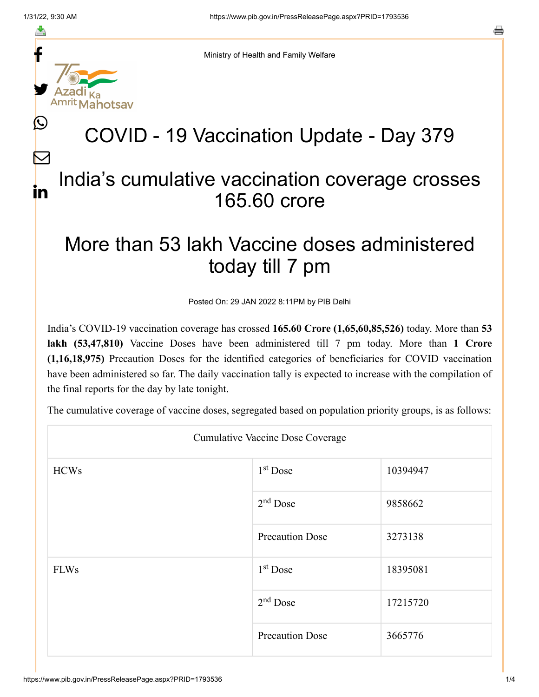≛

 $\mathbb{C}$ 

 $\bm{\nabla}$ 

in

a



Ministry of Health and Family Welfare

## COVID - 19 Vaccination Update - Day 379

## India's cumulative vaccination coverage crosses 165.60 crore

## More than 53 lakh Vaccine doses administered today till 7 pm

Posted On: 29 JAN 2022 8:11PM by PIB Delhi

India's COVID-19 vaccination coverage has crossed **165.60 Crore (1,65,60,85,526)** today. More than **53 lakh (53,47,810)** Vaccine Doses have been administered till 7 pm today. More than **1 Crore (1,16,18,975)** Precaution Doses for the identified categories of beneficiaries for COVID vaccination have been administered so far. The daily vaccination tally is expected to increase with the compilation of the final reports for the day by late tonight.

The cumulative coverage of vaccine doses, segregated based on population priority groups, is as follows:

| <b>Cumulative Vaccine Dose Coverage</b> |                        |          |  |
|-----------------------------------------|------------------------|----------|--|
| <b>HCWs</b>                             | $1st$ Dose             | 10394947 |  |
|                                         | $2nd$ Dose             | 9858662  |  |
|                                         | <b>Precaution Dose</b> | 3273138  |  |
| <b>FLWs</b>                             | $1st$ Dose             | 18395081 |  |
|                                         | $2nd$ Dose             | 17215720 |  |
|                                         | <b>Precaution Dose</b> | 3665776  |  |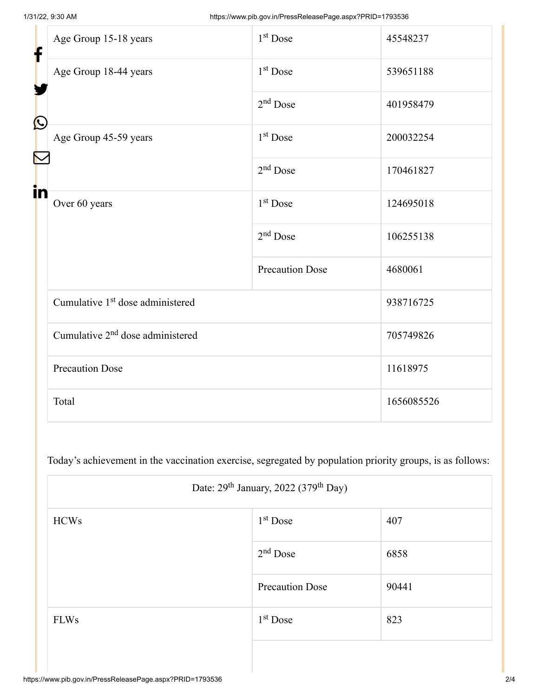| f            | Age Group 15-18 years                        | $1st$ Dose             | 45548237   |
|--------------|----------------------------------------------|------------------------|------------|
|              | Age Group 18-44 years                        | 1 <sup>st</sup> Dose   | 539651188  |
|              |                                              | $2nd$ Dose             | 401958479  |
| $\bf \Omega$ | Age Group 45-59 years                        | 1 <sup>st</sup> Dose   | 200032254  |
|              |                                              | $2nd$ Dose             | 170461827  |
| in           | Over 60 years                                | 1 <sup>st</sup> Dose   | 124695018  |
|              |                                              | $2nd$ Dose             | 106255138  |
|              |                                              | <b>Precaution Dose</b> | 4680061    |
|              | Cumulative 1 <sup>st</sup> dose administered |                        | 938716725  |
|              | Cumulative 2 <sup>nd</sup> dose administered |                        | 705749826  |
|              | <b>Precaution Dose</b>                       |                        | 11618975   |
|              | Total                                        |                        | 1656085526 |

Today's achievement in the vaccination exercise, segregated by population priority groups, is as follows:

| Date: 29 <sup>th</sup> January, 2022 (379 <sup>th</sup> Day) |                        |       |  |
|--------------------------------------------------------------|------------------------|-------|--|
| <b>HCWs</b>                                                  | $1st$ Dose             | 407   |  |
|                                                              | $2nd$ Dose             | 6858  |  |
|                                                              | <b>Precaution Dose</b> | 90441 |  |
| <b>FLWs</b>                                                  | $1st$ Dose             | 823   |  |
|                                                              |                        |       |  |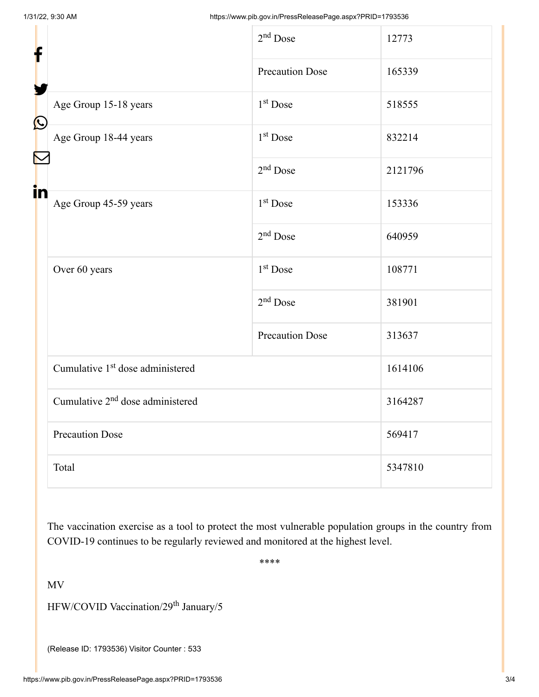| f          |                                              | $2nd$ Dose             | 12773   |
|------------|----------------------------------------------|------------------------|---------|
|            |                                              | <b>Precaution Dose</b> | 165339  |
|            | Age Group 15-18 years                        | $1st$ Dose             | 518555  |
| $\bigcirc$ | Age Group 18-44 years                        | 1 <sup>st</sup> Dose   | 832214  |
|            |                                              | $2nd$ Dose             | 2121796 |
| in         | Age Group 45-59 years                        | 1 <sup>st</sup> Dose   | 153336  |
|            |                                              | $2nd$ Dose             | 640959  |
|            | Over 60 years                                | 1 <sup>st</sup> Dose   | 108771  |
|            |                                              | $2nd$ Dose             | 381901  |
|            |                                              | <b>Precaution Dose</b> | 313637  |
|            | Cumulative 1 <sup>st</sup> dose administered |                        | 1614106 |
|            | Cumulative 2 <sup>nd</sup> dose administered |                        | 3164287 |
|            | <b>Precaution Dose</b>                       |                        | 569417  |
|            | Total                                        |                        | 5347810 |

The vaccination exercise as a tool to protect the most vulnerable population groups in the country from COVID-19 continues to be regularly reviewed and monitored at the highest level.

\*\*\*\*

MV

HFW/COVID Vaccination/29<sup>th</sup> January/5

(Release ID: 1793536) Visitor Counter : 533